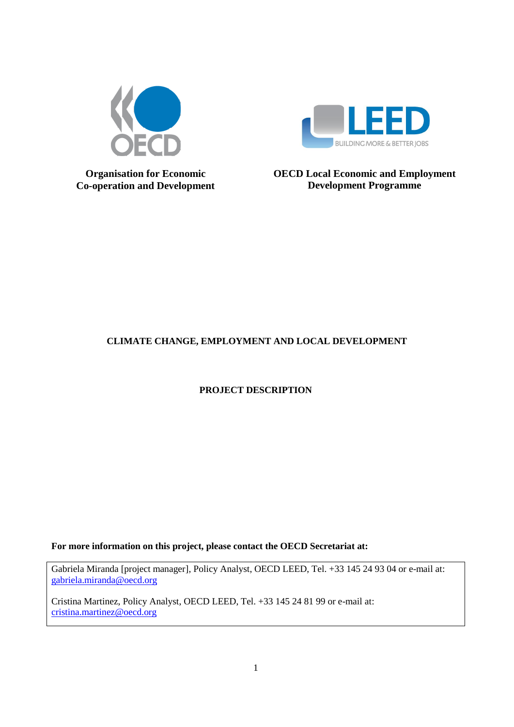



**Organisation for Economic Co-operation and Development** **OECD Local Economic and Employment Development Programme**

# **CLIMATE CHANGE, EMPLOYMENT AND LOCAL DEVELOPMENT**

**PROJECT DESCRIPTION**

**For more information on this project, please contact the OECD Secretariat at:**

Gabriela Miranda [project manager], Policy Analyst, OECD LEED, Tel. +33 145 24 93 04 or e-mail at: [gabriela.miranda@oecd.org](mailto:gabriela.miranda@oecd.org)

Cristina Martinez, Policy Analyst, OECD LEED, Tel. +33 145 24 81 99 or e-mail at: [cristina.martinez@oecd.org](mailto:cristina.martinez@oecd.org)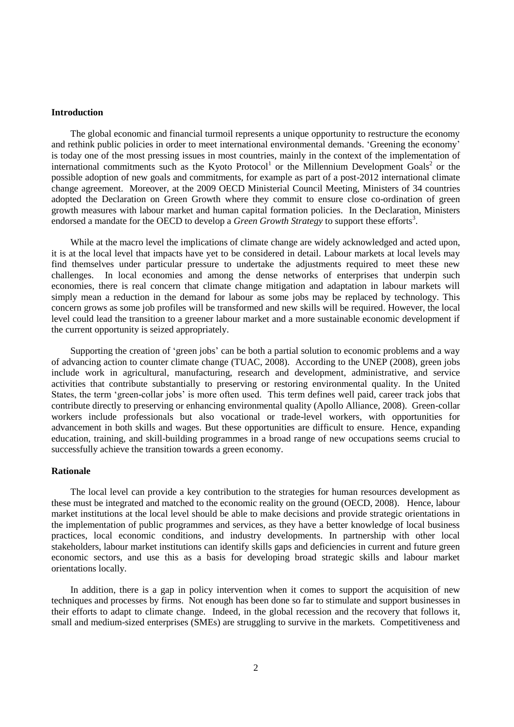#### **Introduction**

The global economic and financial turmoil represents a unique opportunity to restructure the economy and rethink public policies in order to meet international environmental demands. "Greening the economy" is today one of the most pressing issues in most countries, mainly in the context of the implementation of international commitments such as the Kyoto Protocol<sup>1</sup> or the Millennium Development Goals<sup>2</sup> or the possible adoption of new goals and commitments, for example as part of a post-2012 international climate change agreement. Moreover, at the 2009 OECD Ministerial Council Meeting, Ministers of 34 countries adopted the Declaration on Green Growth where they commit to ensure close co-ordination of green growth measures with labour market and human capital formation policies. In the Declaration, Ministers endorsed a mandate for the OECD to develop a *Green Growth Strategy* to support these efforts<sup>3</sup>.

While at the macro level the implications of climate change are widely acknowledged and acted upon, it is at the local level that impacts have yet to be considered in detail. Labour markets at local levels may find themselves under particular pressure to undertake the adjustments required to meet these new challenges. In local economies and among the dense networks of enterprises that underpin such economies, there is real concern that climate change mitigation and adaptation in labour markets will simply mean a reduction in the demand for labour as some jobs may be replaced by technology. This concern grows as some job profiles will be transformed and new skills will be required. However, the local level could lead the transition to a greener labour market and a more sustainable economic development if the current opportunity is seized appropriately.

Supporting the creation of 'green jobs' can be both a partial solution to economic problems and a way of advancing action to counter climate change (TUAC, 2008). According to the UNEP (2008), green jobs include work in agricultural, manufacturing, research and development, administrative, and service activities that contribute substantially to preserving or restoring environmental quality. In the United States, the term "green-collar jobs" is more often used. This term defines well paid, career track jobs that contribute directly to preserving or enhancing environmental quality (Apollo Alliance, 2008). Green-collar workers include professionals but also vocational or trade-level workers, with opportunities for advancement in both skills and wages. But these opportunities are difficult to ensure. Hence, expanding education, training, and skill-building programmes in a broad range of new occupations seems crucial to successfully achieve the transition towards a green economy.

# **Rationale**

The local level can provide a key contribution to the strategies for human resources development as these must be integrated and matched to the economic reality on the ground (OECD, 2008). Hence, labour market institutions at the local level should be able to make decisions and provide strategic orientations in the implementation of public programmes and services, as they have a better knowledge of local business practices, local economic conditions, and industry developments. In partnership with other local stakeholders, labour market institutions can identify skills gaps and deficiencies in current and future green economic sectors, and use this as a basis for developing broad strategic skills and labour market orientations locally.

In addition, there is a gap in policy intervention when it comes to support the acquisition of new techniques and processes by firms. Not enough has been done so far to stimulate and support businesses in their efforts to adapt to climate change. Indeed, in the global recession and the recovery that follows it, small and medium-sized enterprises (SMEs) are struggling to survive in the markets. Competitiveness and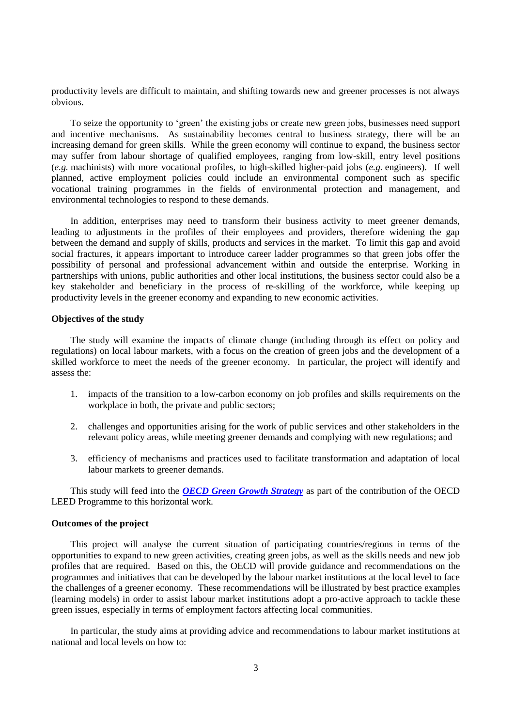productivity levels are difficult to maintain, and shifting towards new and greener processes is not always obvious.

To seize the opportunity to "green" the existing jobs or create new green jobs, businesses need support and incentive mechanisms. As sustainability becomes central to business strategy, there will be an increasing demand for green skills. While the green economy will continue to expand, the business sector may suffer from labour shortage of qualified employees, ranging from low-skill, entry level positions (*e.g.* machinists) with more vocational profiles, to high-skilled higher-paid jobs (*e.g.* engineers). If well planned, active employment policies could include an environmental component such as specific vocational training programmes in the fields of environmental protection and management, and environmental technologies to respond to these demands.

In addition, enterprises may need to transform their business activity to meet greener demands, leading to adjustments in the profiles of their employees and providers, therefore widening the gap between the demand and supply of skills, products and services in the market. To limit this gap and avoid social fractures, it appears important to introduce career ladder programmes so that green jobs offer the possibility of personal and professional advancement within and outside the enterprise. Working in partnerships with unions, public authorities and other local institutions, the business sector could also be a key stakeholder and beneficiary in the process of re-skilling of the workforce, while keeping up productivity levels in the greener economy and expanding to new economic activities.

#### **Objectives of the study**

The study will examine the impacts of climate change (including through its effect on policy and regulations) on local labour markets, with a focus on the creation of green jobs and the development of a skilled workforce to meet the needs of the greener economy. In particular, the project will identify and assess the:

- 1. impacts of the transition to a low-carbon economy on job profiles and skills requirements on the workplace in both, the private and public sectors;
- 2. challenges and opportunities arising for the work of public services and other stakeholders in the relevant policy areas, while meeting greener demands and complying with new regulations; and
- 3. efficiency of mechanisms and practices used to facilitate transformation and adaptation of local labour markets to greener demands.

This study will feed into the *[OECD Green Growth Strategy](http://www.oecd.org/document/10/0,3343,en_2649_37465_44076170_1_1_1_1,00.html)* as part of the contribution of the OECD LEED Programme to this horizontal work.

#### **Outcomes of the project**

This project will analyse the current situation of participating countries/regions in terms of the opportunities to expand to new green activities, creating green jobs, as well as the skills needs and new job profiles that are required. Based on this, the OECD will provide guidance and recommendations on the programmes and initiatives that can be developed by the labour market institutions at the local level to face the challenges of a greener economy. These recommendations will be illustrated by best practice examples (learning models) in order to assist labour market institutions adopt a pro-active approach to tackle these green issues, especially in terms of employment factors affecting local communities.

In particular, the study aims at providing advice and recommendations to labour market institutions at national and local levels on how to: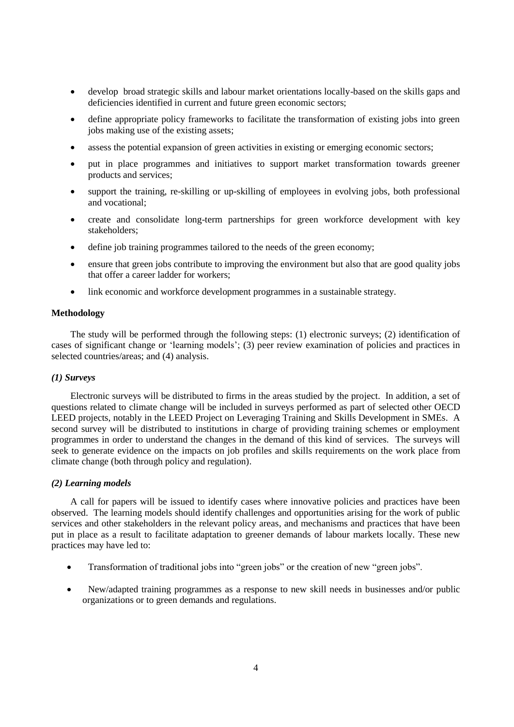- develop broad strategic skills and labour market orientations locally-based on the skills gaps and deficiencies identified in current and future green economic sectors;
- define appropriate policy frameworks to facilitate the transformation of existing jobs into green jobs making use of the existing assets;
- assess the potential expansion of green activities in existing or emerging economic sectors;
- put in place programmes and initiatives to support market transformation towards greener products and services;
- support the training, re-skilling or up-skilling of employees in evolving jobs, both professional and vocational;
- create and consolidate long-term partnerships for green workforce development with key stakeholders;
- define job training programmes tailored to the needs of the green economy;
- ensure that green jobs contribute to improving the environment but also that are good quality jobs that offer a career ladder for workers;
- link economic and workforce development programmes in a sustainable strategy.

# **Methodology**

The study will be performed through the following steps: (1) electronic surveys; (2) identification of cases of significant change or "learning models"; (3) peer review examination of policies and practices in selected countries/areas; and (4) analysis.

### *(1) Surveys*

Electronic surveys will be distributed to firms in the areas studied by the project. In addition, a set of questions related to climate change will be included in surveys performed as part of selected other OECD LEED projects, notably in the LEED Project on Leveraging Training and Skills Development in SMEs. A second survey will be distributed to institutions in charge of providing training schemes or employment programmes in order to understand the changes in the demand of this kind of services. The surveys will seek to generate evidence on the impacts on job profiles and skills requirements on the work place from climate change (both through policy and regulation).

### *(2) Learning models*

A call for papers will be issued to identify cases where innovative policies and practices have been observed. The learning models should identify challenges and opportunities arising for the work of public services and other stakeholders in the relevant policy areas, and mechanisms and practices that have been put in place as a result to facilitate adaptation to greener demands of labour markets locally. These new practices may have led to:

- Transformation of traditional jobs into "green jobs" or the creation of new "green jobs".
- New/adapted training programmes as a response to new skill needs in businesses and/or public organizations or to green demands and regulations.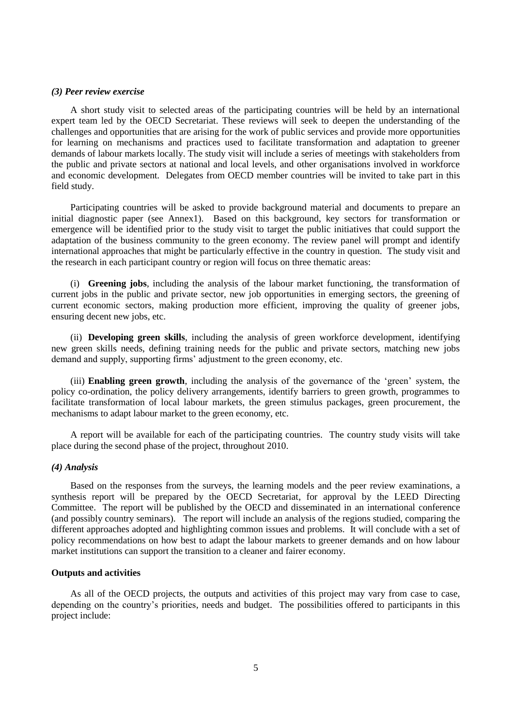#### *(3) Peer review exercise*

A short study visit to selected areas of the participating countries will be held by an international expert team led by the OECD Secretariat. These reviews will seek to deepen the understanding of the challenges and opportunities that are arising for the work of public services and provide more opportunities for learning on mechanisms and practices used to facilitate transformation and adaptation to greener demands of labour markets locally. The study visit will include a series of meetings with stakeholders from the public and private sectors at national and local levels, and other organisations involved in workforce and economic development. Delegates from OECD member countries will be invited to take part in this field study.

Participating countries will be asked to provide background material and documents to prepare an initial diagnostic paper (see Annex1). Based on this background, key sectors for transformation or emergence will be identified prior to the study visit to target the public initiatives that could support the adaptation of the business community to the green economy. The review panel will prompt and identify international approaches that might be particularly effective in the country in question. The study visit and the research in each participant country or region will focus on three thematic areas:

(i) **Greening jobs**, including the analysis of the labour market functioning, the transformation of current jobs in the public and private sector, new job opportunities in emerging sectors, the greening of current economic sectors, making production more efficient, improving the quality of greener jobs, ensuring decent new jobs, etc.

(ii) **Developing green skills**, including the analysis of green workforce development, identifying new green skills needs, defining training needs for the public and private sectors, matching new jobs demand and supply, supporting firms' adjustment to the green economy, etc.

(iii) **Enabling green growth**, including the analysis of the governance of the "green" system, the policy co-ordination, the policy delivery arrangements, identify barriers to green growth, programmes to facilitate transformation of local labour markets, the green stimulus packages, green procurement, the mechanisms to adapt labour market to the green economy, etc.

A report will be available for each of the participating countries. The country study visits will take place during the second phase of the project, throughout 2010.

#### *(4) Analysis*

Based on the responses from the surveys, the learning models and the peer review examinations, a synthesis report will be prepared by the OECD Secretariat, for approval by the LEED Directing Committee. The report will be published by the OECD and disseminated in an international conference (and possibly country seminars). The report will include an analysis of the regions studied, comparing the different approaches adopted and highlighting common issues and problems. It will conclude with a set of policy recommendations on how best to adapt the labour markets to greener demands and on how labour market institutions can support the transition to a cleaner and fairer economy.

## **Outputs and activities**

As all of the OECD projects, the outputs and activities of this project may vary from case to case, depending on the country's priorities, needs and budget. The possibilities offered to participants in this project include: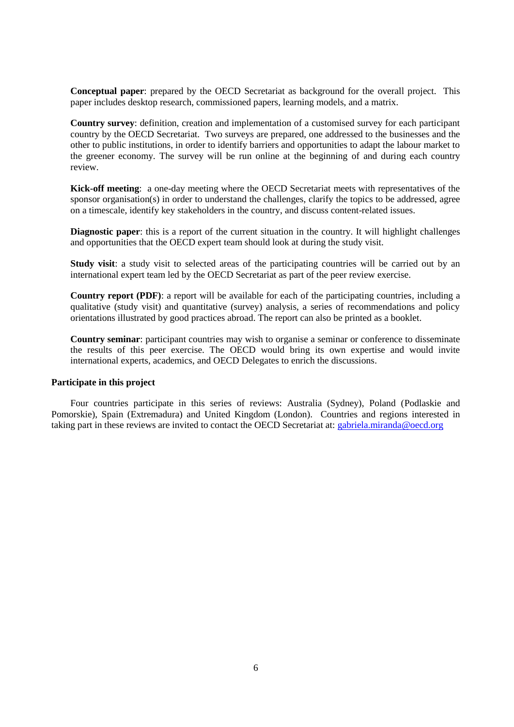**Conceptual paper**: prepared by the OECD Secretariat as background for the overall project. This paper includes desktop research, commissioned papers, learning models, and a matrix.

**Country survey**: definition, creation and implementation of a customised survey for each participant country by the OECD Secretariat. Two surveys are prepared, one addressed to the businesses and the other to public institutions, in order to identify barriers and opportunities to adapt the labour market to the greener economy. The survey will be run online at the beginning of and during each country review.

**Kick-off meeting**: a one-day meeting where the OECD Secretariat meets with representatives of the sponsor organisation(s) in order to understand the challenges, clarify the topics to be addressed, agree on a timescale, identify key stakeholders in the country, and discuss content-related issues.

**Diagnostic paper**: this is a report of the current situation in the country. It will highlight challenges and opportunities that the OECD expert team should look at during the study visit.

**Study visit:** a study visit to selected areas of the participating countries will be carried out by an international expert team led by the OECD Secretariat as part of the peer review exercise.

**Country report (PDF)**: a report will be available for each of the participating countries, including a qualitative (study visit) and quantitative (survey) analysis, a series of recommendations and policy orientations illustrated by good practices abroad. The report can also be printed as a booklet.

**Country seminar**: participant countries may wish to organise a seminar or conference to disseminate the results of this peer exercise. The OECD would bring its own expertise and would invite international experts, academics, and OECD Delegates to enrich the discussions.

# **Participate in this project**

Four countries participate in this series of reviews: Australia (Sydney), Poland (Podlaskie and Pomorskie), Spain (Extremadura) and United Kingdom (London). Countries and regions interested in taking part in these reviews are invited to contact the OECD Secretariat at: [gabriela.miranda@oecd.org](mailto:gabriela.miranda@oecd.org)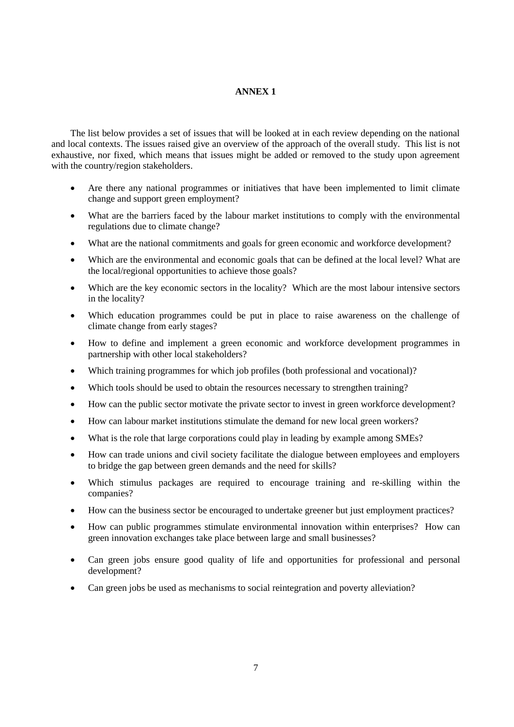# **ANNEX 1**

The list below provides a set of issues that will be looked at in each review depending on the national and local contexts. The issues raised give an overview of the approach of the overall study. This list is not exhaustive, nor fixed, which means that issues might be added or removed to the study upon agreement with the country/region stakeholders.

- Are there any national programmes or initiatives that have been implemented to limit climate change and support green employment?
- What are the barriers faced by the labour market institutions to comply with the environmental regulations due to climate change?
- What are the national commitments and goals for green economic and workforce development?
- Which are the environmental and economic goals that can be defined at the local level? What are the local/regional opportunities to achieve those goals?
- Which are the key economic sectors in the locality? Which are the most labour intensive sectors in the locality?
- Which education programmes could be put in place to raise awareness on the challenge of climate change from early stages?
- How to define and implement a green economic and workforce development programmes in partnership with other local stakeholders?
- Which training programmes for which job profiles (both professional and vocational)?
- Which tools should be used to obtain the resources necessary to strengthen training?
- How can the public sector motivate the private sector to invest in green workforce development?
- How can labour market institutions stimulate the demand for new local green workers?
- What is the role that large corporations could play in leading by example among SMEs?
- How can trade unions and civil society facilitate the dialogue between employees and employers to bridge the gap between green demands and the need for skills?
- Which stimulus packages are required to encourage training and re-skilling within the companies?
- How can the business sector be encouraged to undertake greener but just employment practices?
- How can public programmes stimulate environmental innovation within enterprises? How can green innovation exchanges take place between large and small businesses?
- Can green jobs ensure good quality of life and opportunities for professional and personal development?
- Can green jobs be used as mechanisms to social reintegration and poverty alleviation?